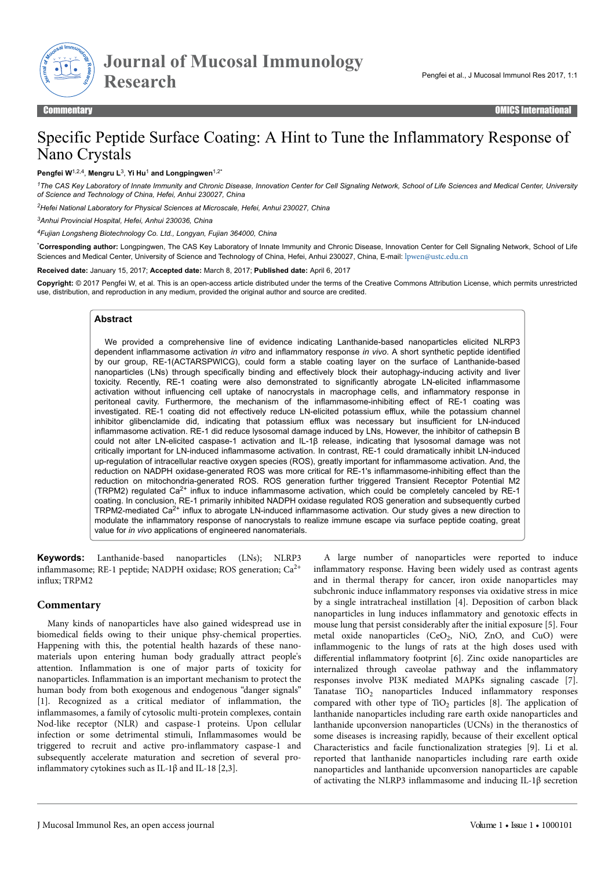

**Journal of Mucosal Immunology Research**

# Specific Peptide Surface Coating: A Hint to Tune the Inflammatory Response of Nano Crystals

**Pengfei W**1,2,4 , **Mengru L**<sup>3</sup> , **Yi Hu**<sup>1</sup> **and Longpingwen**1,2\*

*<sup>1</sup>The CAS Key Laboratory of Innate Immunity and Chronic Disease, Innovation Center for Cell Signaling Network, School of Life Sciences and Medical Center, University of Science and Technology of China, Hefei, Anhui 230027, China*

*<sup>2</sup>Hefei National Laboratory for Physical Sciences at Microscale, Hefei, Anhui 230027, China*

*<sup>3</sup>Anhui Provincial Hospital, Hefei, Anhui 230036, China*

*<sup>4</sup>Fujian Longsheng Biotechnology Co. Ltd., Longyan, Fujian 364000, China*

\***Corresponding author:** Longpingwen, The CAS Key Laboratory of Innate Immunity and Chronic Disease, Innovation Center for Cell Signaling Network, School of Life Sciences and Medical Center, University of Science and Technology of China, Hefei, Anhui 230027, China, E-mail: [lpwen@ustc.edu.cn](mailto:lpwen@ustc.edu.cn)

**Received date:** January 15, 2017; **Accepted date:** March 8, 2017; **Published date:** April 6, 2017

**Copyright:** © 2017 Pengfei W, et al. This is an open-access article distributed under the terms of the Creative Commons Attribution License, which permits unrestricted use, distribution, and reproduction in any medium, provided the original author and source are credited.

#### **Abstract**

We provided a comprehensive line of evidence indicating Lanthanide-based nanoparticles elicited NLRP3 dependent inflammasome activation *in vitro* and inflammatory response *in vivo*. A short synthetic peptide identified by our group, RE-1(ACTARSPWICG), could form a stable coating layer on the surface of Lanthanide-based nanoparticles (LNs) through specifically binding and effectively block their autophagy-inducing activity and liver toxicity. Recently, RE-1 coating were also demonstrated to significantly abrogate LN-elicited inflammasome activation without influencing cell uptake of nanocrystals in macrophage cells, and inflammatory response in peritoneal cavity. Furthermore, the mechanism of the inflammasome-inhibiting effect of RE-1 coating was investigated. RE-1 coating did not effectively reduce LN-elicited potassium efflux, while the potassium channel inhibitor glibenclamide did, indicating that potassium efflux was necessary but insufficient for LN-induced inflammasome activation. RE-1 did reduce lysosomal damage induced by LNs, However, the inhibitor of cathepsin B could not alter LN-elicited caspase-1 activation and IL-1β release, indicating that lysosomal damage was not critically important for LN-induced inflammasome activation. In contrast, RE-1 could dramatically inhibit LN-induced up-regulation of intracellular reactive oxygen species (ROS), greatly important for inflammasome activation. And, the reduction on NADPH oxidase-generated ROS was more critical for RE-1's inflammasome-inhibiting effect than the reduction on mitochondria-generated ROS. ROS generation further triggered Transient Receptor Potential M2 (TRPM2) regulated Ca2+ influx to induce inflammasome activation, which could be completely canceled by RE-1 coating. In conclusion, RE-1 primarily inhibited NADPH oxidase regulated ROS generation and subsequently curbed TRPM2-mediated Ca<sup>2+</sup> influx to abrogate LN-induced inflammasome activation. Our study gives a new direction to modulate the inflammatory response of nanocrystals to realize immune escape via surface peptide coating, great value for *in vivo* applications of engineered nanomaterials.

**Keywords:** Lanthanide-based nanoparticles (LNs); NLRP3 inflammasome; RE-1 peptide; NADPH oxidase; ROS generation; Ca<sup>2+</sup> influx; TRPM2

## **Commentary**

Many kinds of nanoparticles have also gained widespread use in biomedical fields owing to their unique phsy-chemical properties. Happening with this, the potential health hazards of these nanomaterials upon entering human body gradually attract people's attention. Inflammation is one of major parts of toxicity for nanoparticles. Inflammation is an important mechanism to protect the human body from both exogenous and endogenous "danger signals" [1]. Recognized as a critical mediator of inflammation, the inflammasomes, a family of cytosolic multi-protein complexes, contain Nod-like receptor (NLR) and caspase-1 proteins. Upon cellular infection or some detrimental stimuli, Inflammasomes would be triggered to recruit and active pro-inflammatory caspase-1 and subsequently accelerate maturation and secretion of several proinflammatory cytokines such as IL-1β and IL-18 [2,3].

A large number of nanoparticles were reported to induce inflammatory response. Having been widely used as contrast agents and in thermal therapy for cancer, iron oxide nanoparticles may subchronic induce inflammatory responses via oxidative stress in mice by a single intratracheal instillation [4]. Deposition of carbon black nanoparticles in lung induces inflammatory and genotoxic effects in mouse lung that persist considerably after the initial exposure [5]. Four metal oxide nanoparticles  $(CeO_2, NiO, ZnO, and CuO)$  were inflammogenic to the lungs of rats at the high doses used with differential inflammatory footprint [6]. Zinc oxide nanoparticles are internalized through caveolae pathway and the inflammatory responses involve PI3K mediated MAPKs signaling cascade [7]. Tanatase  $TiO<sub>2</sub>$  nanoparticles Induced inflammatory responses compared with other type of  $TiO<sub>2</sub>$  particles [8]. The application of lanthanide nanoparticles including rare earth oxide nanoparticles and lanthanide upconversion nanoparticles (UCNs) in the theranostics of some diseases is increasing rapidly, because of their excellent optical Characteristics and facile functionalization strategies [9]. Li et al. reported that lanthanide nanoparticles including rare earth oxide nanoparticles and lanthanide upconversion nanoparticles are capable of activating the NLRP3 inflammasome and inducing IL-1β secretion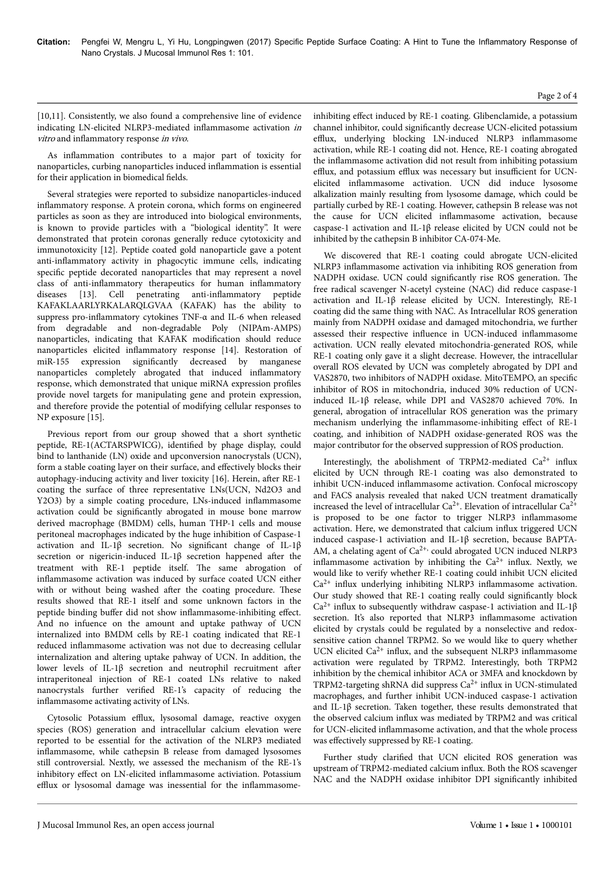[10,11]. Consistently, we also found a comprehensive line of evidence indicating LN-elicited NLRP3-mediated inflammasome activation in vitro and inflammatory response in vivo.

As inflammation contributes to a major part of toxicity for nanoparticles, curbing nanoparticles induced inflammation is essential for their application in biomedical fields.

Several strategies were reported to subsidize nanoparticles-induced inflammatory response. A protein corona, which forms on engineered particles as soon as they are introduced into biological environments, is known to provide particles with a "biological identity". It were demonstrated that protein coronas generally reduce cytotoxicity and immunotoxicity [12]. Peptide coated gold nanoparticle gave a potent anti-inflammatory activity in phagocytic immune cells, indicating specific peptide decorated nanoparticles that may represent a novel class of anti-inflammatory therapeutics for human inflammatory diseases [13]. Cell penetrating anti-inflammatory peptide KAFAKLAARLYRKALARQLGVAA (KAFAK) has the ability to suppress pro-inflammatory cytokines TNF-α and IL-6 when released from degradable and non-degradable Poly (NIPAm-AMPS) nanoparticles, indicating that KAFAK modification should reduce nanoparticles elicited inflammatory response [14]. Restoration of miR-155 expression significantly decreased by manganese nanoparticles completely abrogated that induced inflammatory response, which demonstrated that unique miRNA expression profiles provide novel targets for manipulating gene and protein expression, and therefore provide the potential of modifying cellular responses to NP exposure [15].

Previous report from our group showed that a short synthetic peptide, RE-1(ACTARSPWICG), identified by phage display, could bind to lanthanide (LN) oxide and upconversion nanocrystals (UCN), form a stable coating layer on their surface, and effectively blocks their autophagy-inducing activity and liver toxicity [16]. Herein, after RE-1 coating the surface of three representative LNs(UCN, Nd2O3 and Y2O3) by a simple coating procedure, LNs-induced inflammasome activation could be significantly abrogated in mouse bone marrow derived macrophage (BMDM) cells, human THP-1 cells and mouse peritoneal macrophages indicated by the huge inhibition of Caspase-1 activation and IL-1β secretion. No significant change of IL-1β secretion or nigericin-induced IL-1 $\beta$  secretion happened after the treatment with RE-1 peptide itself. Нe same abrogation of inflammasome activation was induced by surface coated UCN either with or without being washed after the coating procedure. These results showed that RE-1 itself and some unknown factors in the peptide binding buffer did not show inflammasome-inhibiting effect. And no infuence on the amount and uptake pathway of UCN internalized into BMDM cells by RE-1 coating indicated that RE-1 reduced inflammasome activation was not due to decreasing cellular internalization and altering uptake pahway of UCN. In addition, the lower levels of IL-1β secretion and neutrophil recruitment after intraperitoneal injection of RE-1 coated LNs relative to naked nanocrystals further verified RE-1's capacity of reducing the inflammasome activating activity of LNs.

Cytosolic Potassium efflux, lysosomal damage, reactive oxygen species (ROS) generation and intracellular calcium elevation were reported to be essential for the activation of the NLRP3 mediated inflammasome, while cathepsin B release from damaged lysosomes still controversial. Nextly, we assessed the mechanism of the RE-1's inhibitory effect on LN-elicited inflammasome activiation. Potassium efflux or lysosomal damage was inessential for the inflammasomeinhibiting effect induced by RE-1 coating. Glibenclamide, a potassium channel inhibitor, could significantly decrease UCN-elicited potassium efflux, underlying blocking LN-induced NLRP3 inflammasome activation, while RE-1 coating did not. Hence, RE-1 coating abrogated the inflammasome activation did not result from inhibiting potassium efflux, and potassium efflux was necessary but insufficient for UCNelicited inflammasome activation. UCN did induce lysosome alkalization mainly resulting from lysosome damage, which could be partially curbed by RE-1 coating. However, cathepsin B release was not the cause for UCN elicited inflammasome activation, because caspase-1 activation and IL-1β release elicited by UCN could not be inhibited by the cathepsin B inhibitor CA-074-Me.

We discovered that RE-1 coating could abrogate UCN-elicited NLRP3 inflammasome activation via inhibiting ROS generation from NADPH oxidase. UCN could significantly rise ROS generation. Нe free radical scavenger N-acetyl cysteine (NAC) did reduce caspase-1 activation and IL-1β release elicited by UCN. Interestingly, RE-1 coating did the same thing with NAC. As Intracellular ROS generation mainly from NADPH oxidase and damaged mitochondria, we further assessed their respective influence in UCN-induced inflammasome activation. UCN really elevated mitochondria-generated ROS, while RE-1 coating only gave it a slight decrease. However, the intracellular overall ROS elevated by UCN was completely abrogated by DPI and VAS2870, two inhibitors of NADPH oxidase. MitoTEMPO, an specific inhibitor of ROS in mitochondria, induced 30% reduction of UCNinduced IL-1β release, while DPI and VAS2870 achieved 70%. In general, abrogation of intracellular ROS generation was the primary mechanism underlying the inflammasome-inhibiting effect of RE-1 coating, and inhibition of NADPH oxidase-generated ROS was the major contributor for the observed suppression of ROS production.

Interestingly, the abolishment of TRPM2-mediated  $Ca^{2+}$  influx elicited by UCN through RE-1 coating was also demonstrated to inhibit UCN-induced inflammasome activation. Confocal microscopy and FACS analysis revealed that naked UCN treatment dramatically increased the level of intracellular  $Ca^{2+}$ . Elevation of intracellular  $Ca^{2+}$ is proposed to be one factor to trigger NLRP3 inflammasome activation. Here, we demonstrated that calcium influx triggered UCN induced caspase-1 activiation and IL-1β secretion, because BAPTA-AM, a chelating agent of Ca<sup>2+,</sup> could abrogated UCN induced NLRP3 inflammasome activation by inhibiting the  $Ca^{2+}$  influx. Nextly, we would like to verify whether RE-1 coating could inhibit UCN elicited  $Ca<sup>2+</sup>$  influx underlying inhibiting NLRP3 inflammasome activation. Our study showed that RE-1 coating really could significantly block  $Ca^{2+}$  influx to subsequently withdraw caspase-1 activiation and IL-1 $\beta$ secretion. It's also reported that NLRP3 inflammasome activation elicited by crystals could be regulated by a nonselective and redoxsensitive cation channel TRPM2. So we would like to query whether UCN elicited  $Ca^{2+}$  influx, and the subsequent NLRP3 inflammasome activation were regulated by TRPM2. Interestingly, both TRPM2 inhibition by the chemical inhibitor ACA or 3MFA and knockdown by TRPM2-targeting shRNA did suppress  $Ca^{2+}$  influx in UCN-stimulated macrophages, and further inhibit UCN-induced caspase-1 activation and IL-1 $\beta$  secretion. Taken together, these results demonstrated that the observed calcium influx was mediated by TRPM2 and was critical for UCN-elicited inflammasome activation, and that the whole process was effectively suppressed by RE-1 coating.

Further study clarified that UCN elicited ROS generation was upstream of TRPM2-mediated calcium influx. Both the ROS scavenger NAC and the NADPH oxidase inhibitor DPI significantly inhibited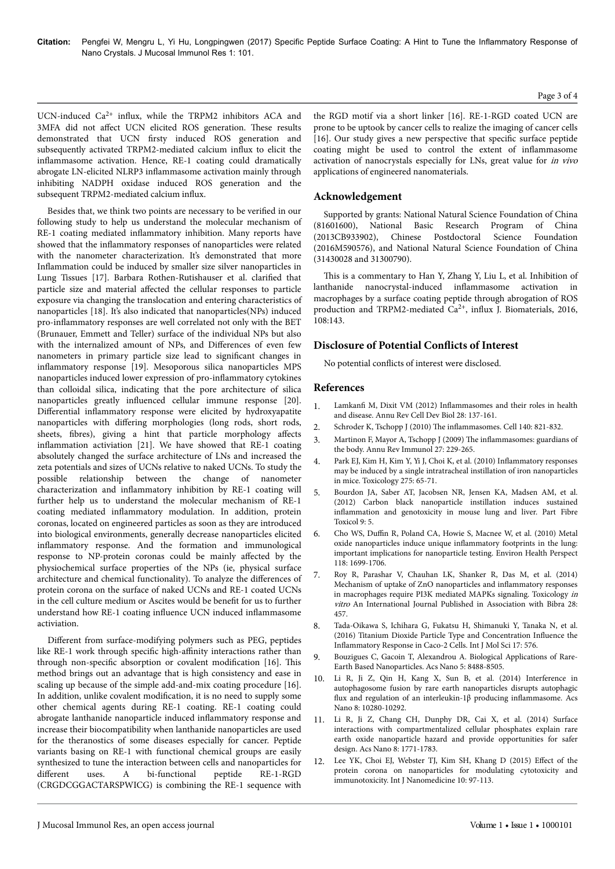UCN-induced Ca<sup>2+</sup> influx, while the TRPM2 inhibitors ACA and 3MFA did not affect UCN elicited ROS generation. These results demonstrated that UCN firsty induced ROS generation and subsequently activated TRPM2-mediated calcium influx to elicit the inflammasome activation. Hence, RE-1 coating could dramatically abrogate LN-elicited NLRP3 inflammasome activation mainly through inhibiting NADPH oxidase induced ROS generation and the subsequent TRPM2-mediated calcium influx.

Besides that, we think two points are necessary to be verified in our following study to help us understand the molecular mechanism of RE-1 coating mediated inflammatory inhibition. Many reports have showed that the inflammatory responses of nanoparticles were related with the nanometer characterization. It's demonstrated that more Inflammation could be induced by smaller size silver nanoparticles in Lung Tissues [17]. Barbara Rothen-Rutishauser et al. clarified that particle size and material affected the cellular responses to particle exposure via changing the translocation and entering characteristics of nanoparticles [18]. It's also indicated that nanoparticles(NPs) induced pro-inflammatory responses are well correlated not only with the BET (Brunauer, Emmett and Teller) surface of the individual NPs but also with the internalized amount of NPs, and Differences of even few nanometers in primary particle size lead to significant changes in inflammatory response [19]. Mesoporous silica nanoparticles MPS nanoparticles induced lower expression of pro-inflammatory cytokines than colloidal silica, indicating that the pore architecture of silica nanoparticles greatly influenced cellular immune response [20]. Differential inflammatory response were elicited by hydroxyapatite nanoparticles with differing morphologies (long rods, short rods, sheets, fibres), giving a hint that particle morphology affects inflammation activiation [21]. We have showed that RE-1 coating absolutely changed the surface architecture of LNs and increased the zeta potentials and sizes of UCNs relative to naked UCNs. To study the possible relationship between the change of nanometer characterization and inflammatory inhibition by RE-1 coating will further help us to understand the molecular mechanism of RE-1 coating mediated inflammatory modulation. In addition, protein coronas, located on engineered particles as soon as they are introduced into biological environments, generally decrease nanoparticles elicited inflammatory response. And the formation and immunological response to NP-protein coronas could be mainly affected by the physiochemical surface properties of the NPs (ie, physical surface architecture and chemical functionality). To analyze the differences of protein corona on the surface of naked UCNs and RE-1 coated UCNs in the cell culture medium or Ascites would be benefit for us to further understand how RE-1 coating influence UCN induced inflammasome activiation.

Different from surface-modifying polymers such as PEG, peptides like RE-1 work through specific high-affinity interactions rather than through non-specific absorption or covalent modification [16]. Нis method brings out an advantage that is high consistency and ease in scaling up because of the simple add-and-mix coating procedure [16]. In addition, unlike covalent modification, it is no need to supply some other chemical agents during RE-1 coating. RE-1 coating could abrogate lanthanide nanoparticle induced inflammatory response and increase their biocompatibility when lanthanide nanoparticles are used for the theranostics of some diseases especially for cancer. Peptide variants basing on RE-1 with functional chemical groups are easily synthesized to tune the interaction between cells and nanoparticles for different uses. A bi-functional peptide RE-1-RGD (CRGDCGGACTARSPWICG) is combining the RE-1 sequence with

the RGD motif via a short linker [16]. RE-1-RGD coated UCN are prone to be uptook by cancer cells to realize the imaging of cancer cells [16]. Our study gives a new perspective that specific surface peptide coating might be used to control the extent of inflammasome activation of nanocrystals especially for LNs, great value for in vivo applications of engineered nanomaterials.

## **Acknowledgement**

Supported by grants: National Natural Science Foundation of China (81601600), National Basic Research Program of China (2013CB933902), Chinese Postdoctoral Science Foundation (2016M590576), and National Natural Science Foundation of China (31430028 and 31300790).

This is a commentary to Han Y, Zhang Y, Liu L, et al. Inhibition of lanthanide nanocrystal-induced inflammasome activation in macrophages by a surface coating peptide through abrogation of ROS production and TRPM2-mediated Ca<sup>2+</sup>, influx J. Biomaterials, 2016, 108:143.

## **Disclosure of Potential Conflicts of Interest**

No potential conflicts of interest were disclosed.

### **References**

- 1. Lamkanfi M, Dixit VM (2012) Inflammasomes [and their roles in health](http://dx.doi.org/10.1146/annurev-cellbio-101011-155745) [and disease. Annu Rev Cell Dev Biol 28: 137-161.](http://dx.doi.org/10.1146/annurev-cellbio-101011-155745)
- 2. [Schroder K, Tschopp J \(2010\)](http://dx.doi.org/10.1016/j.cell.2010.01.040) The inflammasomes. Cell 140: 821-832.
- 3. [Martinon F, Mayor A, Tschopp J \(2009\)](http://dx.doi.org/10.1146/annurev.immunol.021908.132715) The inflammasomes: guardians of [the body. Annu Rev Immunol 27: 229-265.](http://dx.doi.org/10.1146/annurev.immunol.021908.132715)
- 4. [Park EJ, Kim H, Kim Y, Yi J, Choi K, et al. \(2010\)](http://dx.doi.org/10.1016/j.tox.2010.06.002) Inflammatory responses [may be induced by a single intratracheal instillation of iron nanoparticles](http://dx.doi.org/10.1016/j.tox.2010.06.002) [in mice. Toxicology 275: 65-71.](http://dx.doi.org/10.1016/j.tox.2010.06.002)
- 5. [Bourdon JA, Saber AT, Jacobsen NR, Jensen KA, Madsen AM, et al.](http://dx.doi.org/10.1186/1743-8977-9-5) [\(2012\) Carbon black nanoparticle instillation induces sustained](http://dx.doi.org/10.1186/1743-8977-9-5) inflammation [and genotoxicity in mouse lung and liver. Part Fibre](http://dx.doi.org/10.1186/1743-8977-9-5) [Toxicol 9: 5.](http://dx.doi.org/10.1186/1743-8977-9-5)
- 6. Cho WS, Duffin [R, Poland CA, Howie S, Macnee W, et al. \(2010\) Metal](http://dx.doi.org/10.1289/ehp.1002201) [oxide nanoparticles induce unique](http://dx.doi.org/10.1289/ehp.1002201) inflammatory footprints in the lung: [important implications for nanoparticle testing. Environ Health Perspect](http://dx.doi.org/10.1289/ehp.1002201) [118: 1699-1706.](http://dx.doi.org/10.1289/ehp.1002201)
- 7. [Roy R, Parashar V, Chauhan LK, Shanker R, Das M, et al. \(2014\)](http://dx.doi.org/10.1016/j.tiv.2013.12.004) [Mechanism of uptake of ZnO nanoparticles and](http://dx.doi.org/10.1016/j.tiv.2013.12.004) inflammatory responses [in macrophages require PI3K mediated MAPKs signaling. Toxicology](http://dx.doi.org/10.1016/j.tiv.2013.12.004) in vitro [An International Journal Published in Association with Bibra 28:](http://dx.doi.org/10.1016/j.tiv.2013.12.004) [457.](http://dx.doi.org/10.1016/j.tiv.2013.12.004)
- 8. [Tada-Oikawa S, Ichihara G, Fukatsu H, Shimanuki Y, Tanaka N, et al.](http://dx.doi.org/10.3390/ijms17040576) [\(2016\) Titanium Dioxide Particle Type and Concentration](http://dx.doi.org/10.3390/ijms17040576) Influence the Inflammatory [Response in Caco-2 Cells. Int J Mol Sci 17: 576.](http://dx.doi.org/10.3390/ijms17040576)
- 9. [Bouzigues C, Gacoin T, Alexandrou A. Biological Applications of Rare-](http://dx.doi.org/10.1021/nn202378b)[Earth Based Nanoparticles. Acs Nano 5: 8488-8505.](http://dx.doi.org/10.1021/nn202378b)
- 10. [Li R, Ji Z, Qin H, Kang X, Sun B, et al. \(2014\) Interference in](http://dx.doi.org/10.1021/nn505002w) [autophagosome fusion by rare earth nanoparticles disrupts autophagic](http://dx.doi.org/10.1021/nn505002w) flux [and regulation of an interleukin-1β producing](http://dx.doi.org/10.1021/nn505002w) inflammasome. Acs [Nano 8: 10280-10292.](http://dx.doi.org/10.1021/nn505002w)
- 11. [Li R, Ji Z, Chang CH, Dunphy DR, Cai X, et al. \(2014\) Surface](http://dx.doi.org/10.1021/nn406166n) [interactions with compartmentalized cellular phosphates explain rare](http://dx.doi.org/10.1021/nn406166n) [earth oxide nanoparticle hazard and provide opportunities for safer](http://dx.doi.org/10.1021/nn406166n) [design. Acs Nano 8: 1771-1783.](http://dx.doi.org/10.1021/nn406166n)
- [Lee YK, Choi EJ, Webster TJ, Kim SH, Khang D \(2015\)](http://dx.doi.org/10.2147/IJN.S72998) Effect of the [protein corona on nanoparticles for modulating cytotoxicity and](http://dx.doi.org/10.2147/IJN.S72998) [immunotoxicity. Int J Nanomedicine 10: 97-113.](http://dx.doi.org/10.2147/IJN.S72998)